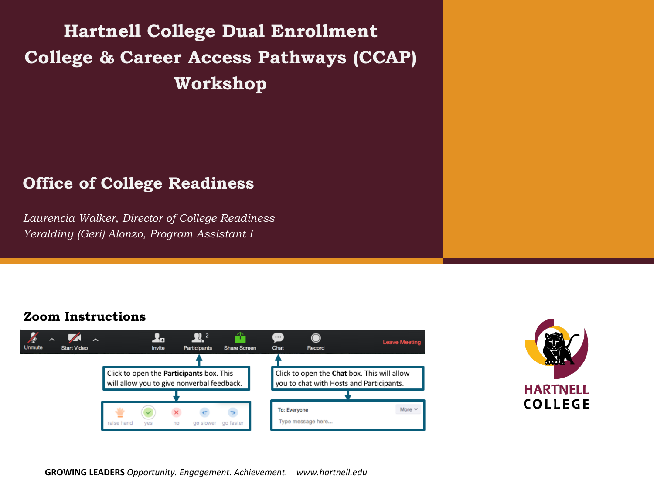**Hartnell College Dual Enrollment College & Career Access Pathways (CCAP) Workshop**

#### **Office of College Readiness**

*Laurencia Walker, Director of College Readiness Yeraldiny (Geri) Alonzo, Program Assistant I*

#### **Zoom Instructions**





**GROWING LEADERS** *Opportunity. Engagement. Achievement. www.hartnell.edu*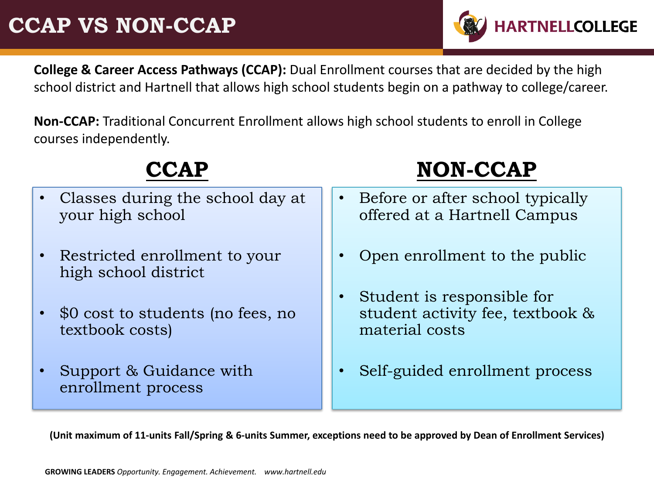### **CCAP VS NON-CCAP**

**College & Career Access Pathways (CCAP):** Dual Enrollment courses that are decided by the high school district and Hartnell that allows high school students begin on a pathway to college/career.

**HARTNELLCOLLEGE** 

**Non-CCAP:** Traditional Concurrent Enrollment allows high school students to enroll in College courses independently.

#### **CCAP** • Classes during the school day at your high school • Restricted enrollment to your high school district • \$0 cost to students (no fees, no textbook costs) • Support & Guidance with enrollment process **NON-CCAP** • Before or after school typically offered at a Hartnell Campus • Open enrollment to the public • Student is responsible for student activity fee, textbook & material costs • Self-guided enrollment process

**(Unit maximum of 11-units Fall/Spring & 6-units Summer, exceptions need to be approved by Dean of Enrollment Services)**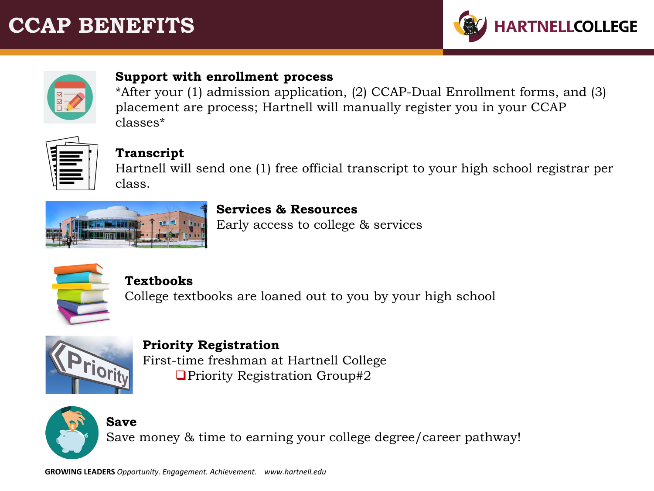### **CCAP BENEFITS**





#### **Support with enrollment process**

\*After your (1) admission application, (2) CCAP-Dual Enrollment forms, and (3) placement are process; Hartnell will manually register you in your CCAP classes\*



#### **Transcript**

Hartnell will send one (1) free official transcript to your high school registrar per class.



#### **Services & Resources**

Early access to college & services



#### **Textbooks**

College textbooks are loaned out to you by your high school



**Priority Registration** First-time freshman at Hartnell College ■Priority Registration Group#2



Save money & time to earning your college degree/career pathway!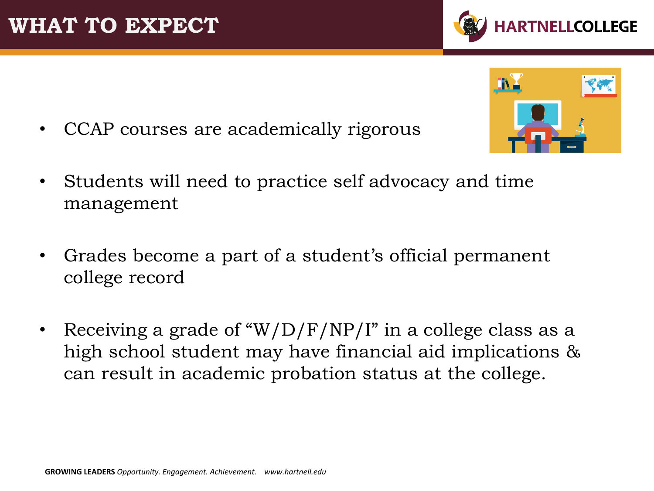**WHAT TO EXPECT**

- CCAP courses are academically rigorous
- Students will need to practice self advocacy and time management
- Grades become a part of a student's official permanent college record
- Receiving a grade of "W/D/F/NP/I" in a college class as a high school student may have financial aid implications & can result in academic probation status at the college.



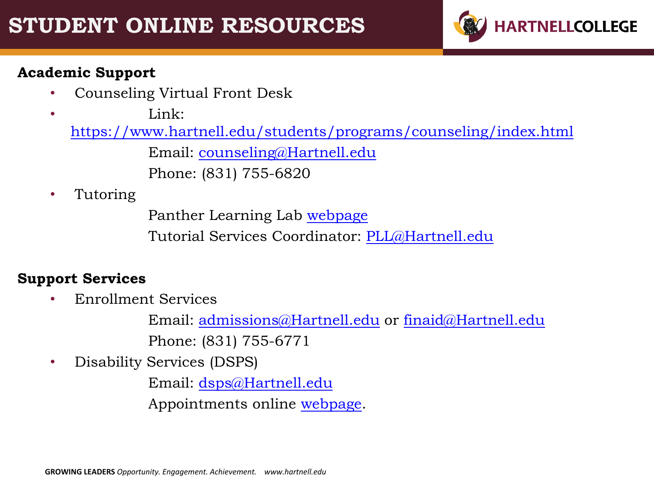

#### **Academic Support**

- Counseling Virtual Front Desk
- Link:

<https://www.hartnell.edu/students/programs/counseling/index.html>

Email: [counseling@Hartnell.edu](mailto:counseling@Hartnell.edu)

Phone: (831) 755-6820

• Tutoring

Panther Learning Lab [webpage](https://www.hartnell.edu/students/programs/tutoring/drop-tutoring.html)

Tutorial Services Coordinator: [PLL@Hartnell.edu](mailto:PLL@Hartnell.edu)

#### **Support Services**

• Enrollment Services

Email: [admissions@Hartnell.edu](mailto:admissions@Hartnell.edu) or [finaid@Hartnell.edu](mailto:finaid@Hartnell.edu) Phone: (831) 755-6771

• Disability Services (DSPS)

Email: [dsps@Hartnell.edu](mailto:dsps@Hartnell.edu)

Appointments online [webpage](https://www.hartnell.edu/students/programs/dsps/index.html).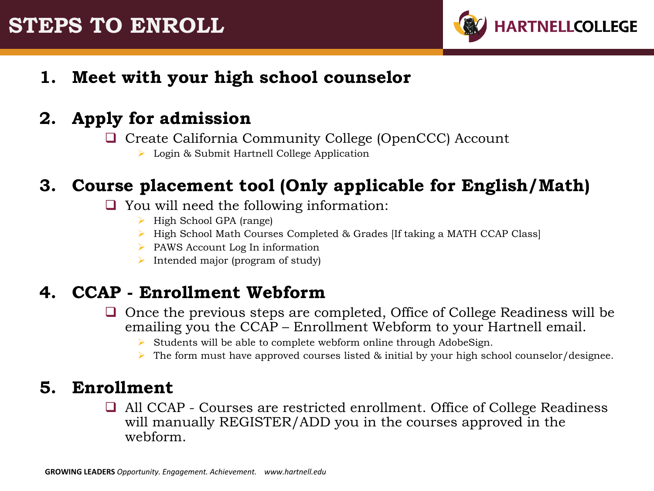### **STEPS TO ENROLL**



**1. Meet with your high school counselor**

### **2. Apply for admission**

- □ Create California Community College (OpenCCC) Account
	- Login & Submit Hartnell College Application

### **3. Course placement tool (Only applicable for English/Math)**

- $\Box$  You will need the following information:
	- $\triangleright$  High School GPA (range)
	- ▶ High School Math Courses Completed & Grades IIf taking a MATH CCAP Class
	- $\triangleright$  PAWS Account Log In information
	- Intended major (program of study)

### **4. CCAP - Enrollment Webform**

- $\Box$  Once the previous steps are completed, Office of College Readiness will be emailing you the CCAP – Enrollment Webform to your Hartnell email.
	- $\triangleright$  Students will be able to complete webform online through AdobeSign.
	- $\triangleright$  The form must have approved courses listed & initial by your high school counselor/designee.

#### **5. Enrollment**

□ All CCAP - Courses are restricted enrollment. Office of College Readiness will manually REGISTER/ADD you in the courses approved in the webform.